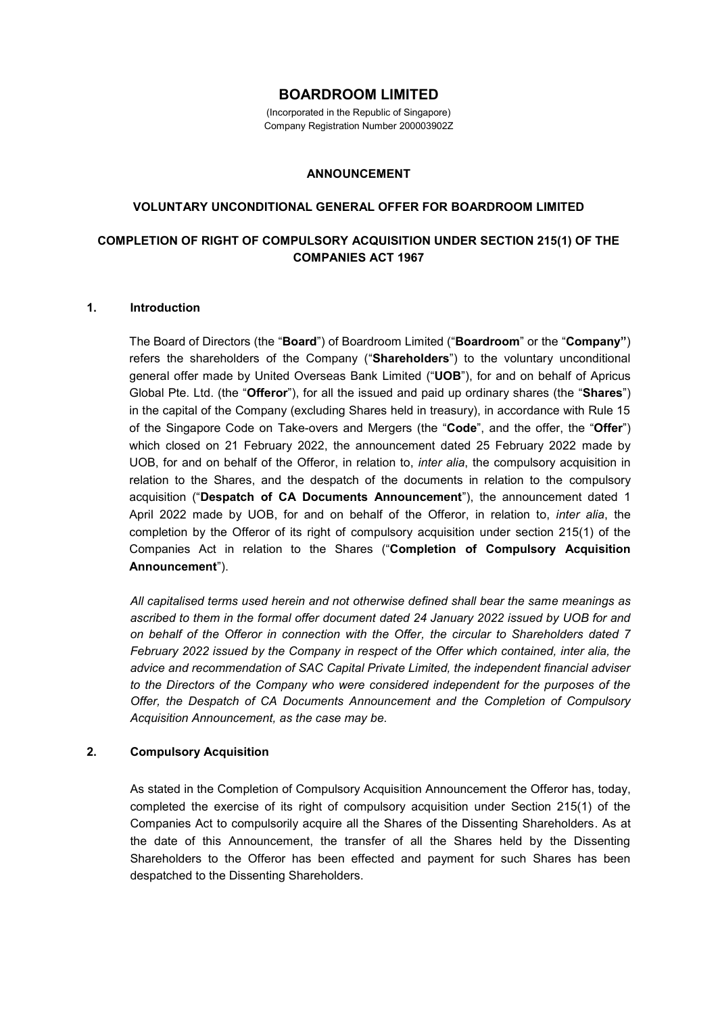# **BOARDROOM LIMITED**

(Incorporated in the Republic of Singapore) Company Registration Number 200003902Z

#### **ANNOUNCEMENT**

## **VOLUNTARY UNCONDITIONAL GENERAL OFFER FOR BOARDROOM LIMITED**

# **COMPLETION OF RIGHT OF COMPULSORY ACQUISITION UNDER SECTION 215(1) OF THE COMPANIES ACT 1967**

#### **1. Introduction**

The Board of Directors (the "**Board**") of Boardroom Limited ("**Boardroom**" or the "**Company"**) refers the shareholders of the Company ("**Shareholders**") to the voluntary unconditional general offer made by United Overseas Bank Limited ("**UOB**"), for and on behalf of Apricus Global Pte. Ltd. (the "**Offeror**"), for all the issued and paid up ordinary shares (the "**Shares**") in the capital of the Company (excluding Shares held in treasury), in accordance with Rule 15 of the Singapore Code on Take-overs and Mergers (the "**Code**", and the offer, the "**Offer**") which closed on 21 February 2022, the announcement dated 25 February 2022 made by UOB, for and on behalf of the Offeror, in relation to, *inter alia*, the compulsory acquisition in relation to the Shares, and the despatch of the documents in relation to the compulsory acquisition ("**Despatch of CA Documents Announcement**"), the announcement dated 1 April 2022 made by UOB, for and on behalf of the Offeror, in relation to, *inter alia*, the completion by the Offeror of its right of compulsory acquisition under section 215(1) of the Companies Act in relation to the Shares ("**Completion of Compulsory Acquisition Announcement**").

*All capitalised terms used herein and not otherwise defined shall bear the same meanings as ascribed to them in the formal offer document dated 24 January 2022 issued by UOB for and on behalf of the Offeror in connection with the Offer, the circular to Shareholders dated 7 February 2022 issued by the Company in respect of the Offer which contained, inter alia, the advice and recommendation of SAC Capital Private Limited, the independent financial adviser to the Directors of the Company who were considered independent for the purposes of the Offer, the Despatch of CA Documents Announcement and the Completion of Compulsory Acquisition Announcement, as the case may be.* 

## **2. Compulsory Acquisition**

As stated in the Completion of Compulsory Acquisition Announcement the Offeror has, today, completed the exercise of its right of compulsory acquisition under Section 215(1) of the Companies Act to compulsorily acquire all the Shares of the Dissenting Shareholders. As at the date of this Announcement, the transfer of all the Shares held by the Dissenting Shareholders to the Offeror has been effected and payment for such Shares has been despatched to the Dissenting Shareholders.